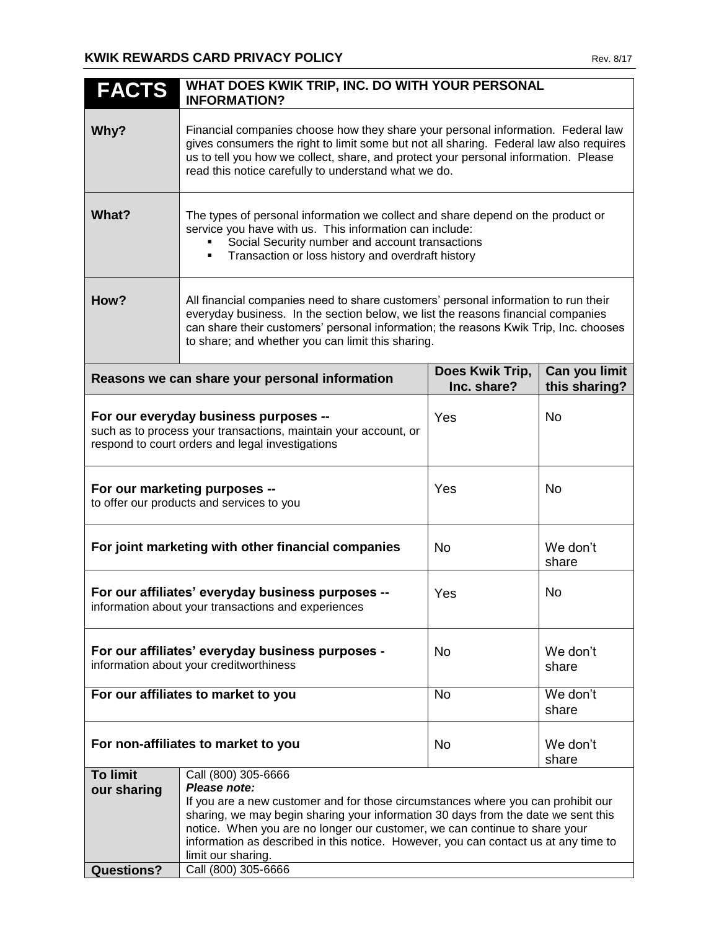| <b>FACTS</b>                                                                                                                                                 | WHAT DOES KWIK TRIP, INC. DO WITH YOUR PERSONAL<br><b>INFORMATION?</b>                                                                                                                                                                                                                                                                                                                                                         |                                |                                |
|--------------------------------------------------------------------------------------------------------------------------------------------------------------|--------------------------------------------------------------------------------------------------------------------------------------------------------------------------------------------------------------------------------------------------------------------------------------------------------------------------------------------------------------------------------------------------------------------------------|--------------------------------|--------------------------------|
| Why?                                                                                                                                                         | Financial companies choose how they share your personal information. Federal law<br>gives consumers the right to limit some but not all sharing. Federal law also requires<br>us to tell you how we collect, share, and protect your personal information. Please<br>read this notice carefully to understand what we do.                                                                                                      |                                |                                |
| What?                                                                                                                                                        | The types of personal information we collect and share depend on the product or<br>service you have with us. This information can include:<br>Social Security number and account transactions<br>Transaction or loss history and overdraft history<br>٠                                                                                                                                                                        |                                |                                |
| How?                                                                                                                                                         | All financial companies need to share customers' personal information to run their<br>everyday business. In the section below, we list the reasons financial companies<br>can share their customers' personal information; the reasons Kwik Trip, Inc. chooses<br>to share; and whether you can limit this sharing.                                                                                                            |                                |                                |
|                                                                                                                                                              | Reasons we can share your personal information                                                                                                                                                                                                                                                                                                                                                                                 | Does Kwik Trip,<br>Inc. share? | Can you limit<br>this sharing? |
| For our everyday business purposes --<br>such as to process your transactions, maintain your account, or<br>respond to court orders and legal investigations |                                                                                                                                                                                                                                                                                                                                                                                                                                | Yes                            | <b>No</b>                      |
| For our marketing purposes --<br>to offer our products and services to you                                                                                   |                                                                                                                                                                                                                                                                                                                                                                                                                                | Yes                            | No                             |
| For joint marketing with other financial companies                                                                                                           |                                                                                                                                                                                                                                                                                                                                                                                                                                | No.                            | We don't<br>share              |
| For our affiliates' everyday business purposes --<br>information about your transactions and experiences                                                     |                                                                                                                                                                                                                                                                                                                                                                                                                                | Yes                            | No                             |
| For our affiliates' everyday business purposes -<br>information about your creditworthiness                                                                  |                                                                                                                                                                                                                                                                                                                                                                                                                                | No                             | We don't<br>share              |
| For our affiliates to market to you                                                                                                                          |                                                                                                                                                                                                                                                                                                                                                                                                                                | <b>No</b>                      | We don't<br>share              |
| For non-affiliates to market to you                                                                                                                          |                                                                                                                                                                                                                                                                                                                                                                                                                                | <b>No</b>                      | We don't<br>share              |
| <b>To limit</b><br>our sharing<br><b>Questions?</b>                                                                                                          | Call (800) 305-6666<br>Please note:<br>If you are a new customer and for those circumstances where you can prohibit our<br>sharing, we may begin sharing your information 30 days from the date we sent this<br>notice. When you are no longer our customer, we can continue to share your<br>information as described in this notice. However, you can contact us at any time to<br>limit our sharing.<br>Call (800) 305-6666 |                                |                                |